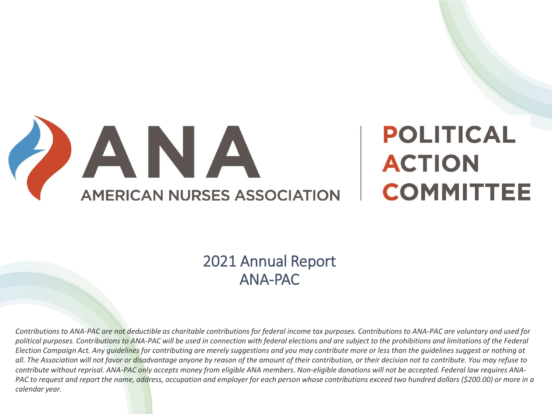

# **POLITICAL ACTION COMMITTEE**

### 2021 Annual Report ANA-PAC

*Contributions to ANA-PAC are not deductible as charitable contributions for federal income tax purposes. Contributions to ANA-PAC are voluntary and used for*  political purposes. Contributions to ANA-PAC will be used in connection with federal elections and are subject to the prohibitions and limitations of the Federal *Election Campaign Act. Any guidelines for contributing are merely suggestions and you may contribute more or less than the guidelines suggest or nothing at all. The Association will not favor or disadvantage anyone by reason of the amount of their contribution, or their decision not to contribute. You may refuse to contribute without reprisal. ANA-PAC only accepts money from eligible ANA members. Non-eligible donations will not be accepted. Federal law requires ANA-PAC to request and report the name, address, occupation and employer for each person whose contributions exceed two hundred dollars (\$200.00) or more in a calendar year.*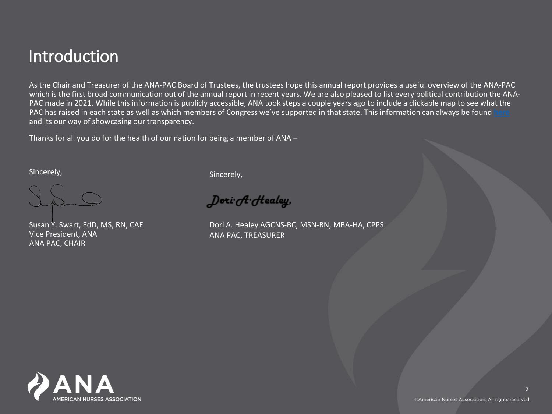### Introduction

As the Chair and Treasurer of the ANA-PAC Board of Trustees, the trustees hope this annual report provides a useful overview of the ANA-PAC which is the first broad communication out of the annual report in recent years. We are also pleased to list every political contribution the ANA-PAC made in 2021. While this information is publicly accessible, ANA took steps a couple years ago to include a clickable map to see what the PAC has raised in each state as well as which members of Congress we've supported in that state. This information can always be found **[here](https://ana.aristotle.com/SitePages/map.aspx)** and its our way of showcasing our transparency.

Thanks for all you do for the health of our nation for being a member of ANA –

Sincerely,

Susan Y. Swart, EdD, MS, RN, CAE Vice President, ANA ANA PAC, CHAIR

Sincerely,

 $\int$ ori $\partial f$  Healey,

Dori A. Healey AGCNS-BC, MSN-RN, MBA-HA, CPPS ANA PAC, TREASURER

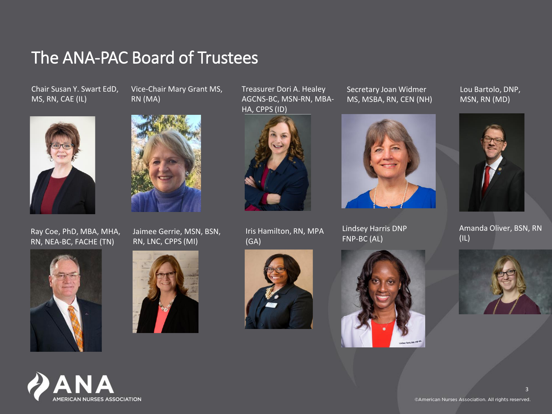### The ANA-PAC Board of Trustees

RN (MA)

Chair Susan Y. Swart EdD, MS, RN, CAE (IL)



Ray Coe, PhD, MBA, MHA, RN, NEA-BC, FACHE (TN)





Vice-Chair Mary Grant MS,

Jaimee Gerrie, MSN, BSN, RN, LNC, CPPS (MI)



Treasurer Dori A. Healey AGCNS-BC, MSN-RN, MBA-HA, CPPS (ID)



Iris Hamilton, RN, MPA (GA)



Secretary Joan Widmer MS, MSBA, RN, CEN (NH)



Lindsey Harris DNP FNP-BC (AL)



Lou Bartolo, DNP, MSN, RN (MD)



Amanda Oliver, BSN, RN (IL)

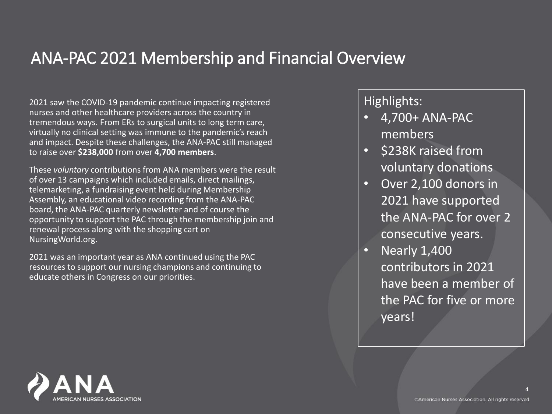### ANA-PAC 2021 Membership and Financial Overview

2021 saw the COVID-19 pandemic continue impacting registered nurses and other healthcare providers across the country in tremendous ways. From ERs to surgical units to long term care, virtually no clinical setting was immune to the pandemic's reach and impact. Despite these challenges, the ANA-PAC still managed to raise over **\$238,000** from over **4,700 members**.

These *voluntary* contributions from ANA members were the result of over 13 campaigns which included emails, direct mailings, telemarketing, a fundraising event held during Membership Assembly, an educational video recording from the ANA-PAC board, the ANA-PAC quarterly newsletter and of course the opportunity to support the PAC through the membership join and renewal process along with the shopping cart on NursingWorld.org.

2021 was an important year as ANA continued using the PAC resources to support our nursing champions and continuing to educate others in Congress on our priorities.

Highlights:

- 4,700+ ANA-PAC members
- \$238K raised from voluntary donations
- Over 2,100 donors in 2021 have supported the ANA-PAC for over 2 consecutive years.
- Nearly 1,400 contributors in 2021 have been a member of the PAC for five or more years!

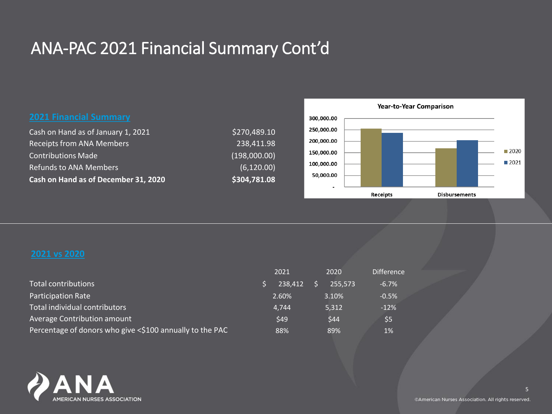### ANA-PAC 2021 Financial Summary Cont'd

| Cash on Hand as of December 31, 2020 | \$304,781.08 |
|--------------------------------------|--------------|
| <b>Refunds to ANA Members</b>        | (6, 120.00)  |
| <b>Contributions Made</b>            | (198,000.00) |
| <b>Receipts from ANA Members</b>     | 238,411.98   |
| Cash on Hand as of January 1, 2021   | 5270,489.10  |



|                                                          | 2021    | 2020    | <b>Difference</b> |
|----------------------------------------------------------|---------|---------|-------------------|
| Total contributions                                      | 238.412 | 255.573 | $-6.7%$           |
| <b>Participation Rate</b>                                | 2.60%   | 3.10%   | $-0.5%$           |
| Total individual contributors                            | 4.744   | 5,312   | $-12%$            |
| Average Contribution amount                              | \$49    | \$44    | \$5               |
| Percentage of donors who give <\$100 annually to the PAC | 88%     | 89%     | 1%                |

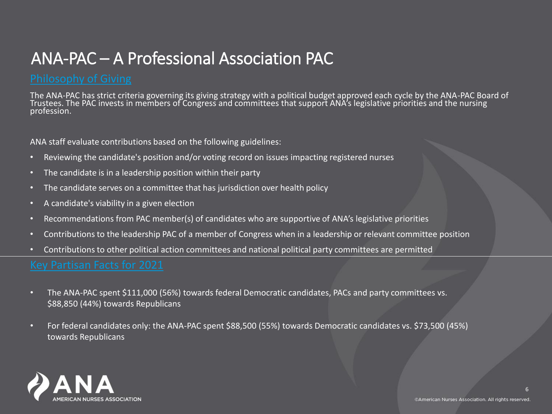### ANA-PAC – A Professional Association PAC

The ANA-PAC has strict criteria governing its giving strategy with a political budget approved each cycle by the ANA-PAC Board of Trustees. The PAC invests in members of Congress and committees that support ANA's legislative priorities and the nursing profession.

ANA staff evaluate contributions based on the following guidelines:

- Reviewing the candidate's position and/or voting record on issues impacting registered nurses
- The candidate is in a leadership position within their party
- The candidate serves on a committee that has jurisdiction over health policy
- A candidate's viability in a given election
- Recommendations from PAC member(s) of candidates who are supportive of ANA's legislative priorities
- Contributions to the leadership PAC of a member of Congress when in a leadership or relevant committee position
- Contributions to other political action committees and national political party committees are permitted

- The ANA-PAC spent \$111,000 (56%) towards federal Democratic candidates, PACs and party committees vs. \$88,850 (44%) towards Republicans
- For federal candidates only: the ANA-PAC spent \$88,500 (55%) towards Democratic candidates vs. \$73,500 (45%) towards Republicans

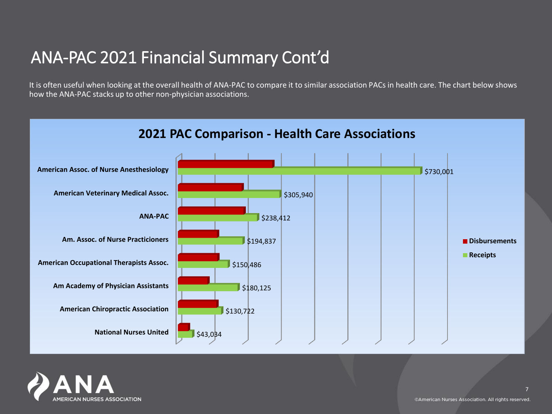### ANA-PAC 2021 Financial Summary Cont'd

It is often useful when looking at the overall health of ANA-PAC to compare it to similar association PACs in health care. The chart below shows how the ANA-PAC stacks up to other non-physician associations.



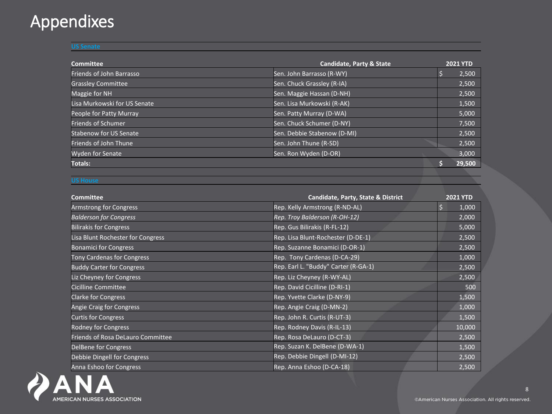### Appendixes

### **US Senate**

| Committee                     | <b>Candidate, Party &amp; State</b> | <b>2021 YTD</b> |
|-------------------------------|-------------------------------------|-----------------|
| Friends of John Barrasso      | Sen. John Barrasso (R-WY)           | 2,500           |
| <b>Grassley Committee</b>     | Sen. Chuck Grassley (R-IA)          | 2,500           |
| Maggie for NH                 | Sen. Maggie Hassan (D-NH)           | 2,500           |
| Lisa Murkowski for US Senate  | Sen. Lisa Murkowski (R-AK)          | 1,500           |
| People for Patty Murray       | Sen. Patty Murray (D-WA)            | 5,000           |
| <b>Friends of Schumer</b>     | Sen. Chuck Schumer (D-NY)           | 7,500           |
| <b>Stabenow for US Senate</b> | Sen. Debbie Stabenow (D-MI)         | 2,500           |
| Friends of John Thune         | Sen. John Thune (R-SD)              | 2,500           |
| <b>Wyden for Senate</b>       | Sen. Ron Wyden (D-OR)               | 3,000           |
| <b>Totals:</b>                |                                     | 29,500          |
|                               |                                     |                 |

### **US House**

| <b>Committee</b>                  | Candidate, Party, State & District   | <b>2021 YTD</b> |
|-----------------------------------|--------------------------------------|-----------------|
| Armstrong for Congress            | Rep. Kelly Armstrong (R-ND-AL)       | 1,000           |
| <b>Balderson for Congress</b>     | Rep. Troy Balderson (R-OH-12)        | 2,000           |
| <b>Bilirakis for Congress</b>     | Rep. Gus Bilirakis (R-FL-12)         | 5,000           |
| Lisa Blunt Rochester for Congress | Rep. Lisa Blunt-Rochester (D-DE-1)   | 2,500           |
| <b>Bonamici for Congress</b>      | Rep. Suzanne Bonamici (D-OR-1)       | 2,500           |
| <b>Tony Cardenas for Congress</b> | Rep. Tony Cardenas (D-CA-29)         | 1,000           |
| <b>Buddy Carter for Congress</b>  | Rep. Earl L. "Buddy" Carter (R-GA-1) | 2,500           |
| Liz Cheyney for Congress          | Rep. Liz Cheyney (R-WY-AL)           | 2,500           |
| Cicilline Committee               | Rep. David Cicilline (D-RI-1)        | 500             |
| <b>Clarke for Congress</b>        | Rep. Yvette Clarke (D-NY-9)          | 1,500           |
| Angie Craig for Congress          | Rep. Angie Craig (D-MN-2)            | 1,000           |
| <b>Curtis for Congress</b>        | Rep. John R. Curtis (R-UT-3)         | 1,500           |
| Rodney for Congress               | Rep. Rodney Davis (R-IL-13)          | 10,000          |
| Friends of Rosa DeLauro Committee | Rep. Rosa DeLauro (D-CT-3)           | 2,500           |
| DelBene for Congress              | Rep. Suzan K. DelBene (D-WA-1)       | 1,500           |
| Debbie Dingell for Congress       | Rep. Debbie Dingell (D-MI-12)        | 2,500           |
| Anna Eshoo for Congress           | Rep. Anna Eshoo (D-CA-18)            | 2,500           |

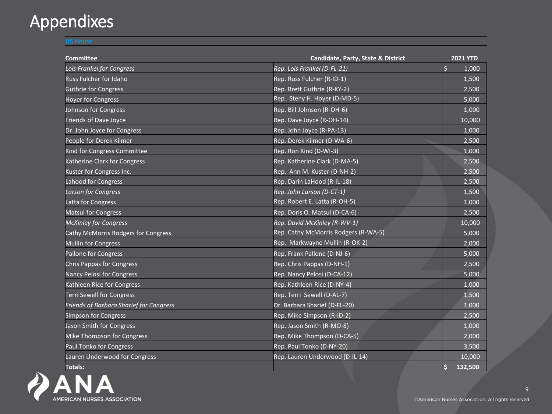## Appendixes

**US House**

| <b>Committee</b>                        | <b>Candidate, Party, State &amp; District</b> | <b>2021 YTD</b>  |
|-----------------------------------------|-----------------------------------------------|------------------|
| <b>Lois Frankel for Congress</b>        | Rep. Lois Frankel (D-FL-21)                   | $\zeta$<br>1,000 |
| <b>Russ Fulcher for Idaho</b>           | Rep. Russ Fulcher (R-ID-1)                    | 1,500            |
| <b>Guthrie for Congress</b>             | Rep. Brett Guthrie (R-KY-2)                   | 2,500            |
| <b>Hoyer for Congress</b>               | Rep. Steny H. Hoyer (D-MD-5)                  | 5,000            |
| Johnson for Congress                    | Rep. Bill Johnson (R-OH-6)                    | 1,000            |
| <b>Friends of Dave Joyce</b>            | Rep. Dave Joyce (R-OH-14)                     | 10,000           |
| Dr. John Joyce for Congress             | Rep. John Joyce (R-PA-13)                     | 1,000            |
| People for Derek Kilmer                 | Rep. Derek Kilmer (D-WA-6)                    | 2,500            |
| Kind for Congress Committee             | Rep. Ron Kind (D-WI-3)                        | 1,000            |
| Katherine Clark for Congress            | Rep. Katherine Clark (D-MA-5)                 | 2,500            |
| Kuster for Congress Inc.                | Rep. Ann M. Kuster (D-NH-2)                   | 2,500            |
| <b>Lahood for Congress</b>              | Rep. Darin LaHood (R-IL-18)                   | 2,500            |
| <b>Larson for Congress</b>              | Rep. John Larson (D-CT-1)                     | 1,500            |
| Latta for Congress                      | Rep. Robert E. Latta (R-OH-5)                 | 1,000            |
| <b>Matsui for Congress</b>              | Rep. Doris O. Matsui (D-CA-6)                 | 2,500            |
| <b>McKinley for Congress</b>            | Rep. David McKinley (R-WV-1)                  | 10,000           |
| Cathy McMorris Rodgers for Congress     | Rep. Cathy McMorris Rodgers (R-WA-5)          | 5,000            |
| <b>Mullin for Congress</b>              | Rep. Markwayne Mullin (R-OK-2)                | 2,000            |
| Pallone for Congress                    | Rep. Frank Pallone (D-NJ-6)                   | 5,000            |
| <b>Chris Pappas for Congress</b>        | Rep. Chris Pappas (D-NH-1)                    | 2,500            |
| <b>Nancy Pelosi for Congress</b>        | Rep. Nancy Pelosi (D-CA-12)                   | 5,000            |
| Kathleen Rice for Congress              | Rep. Kathleen Rice (D-NY-4)                   | 1,000            |
| <b>Terri Sewell for Congress</b>        | Rep. Terri Sewell (D-AL-7)                    | 1,500            |
| Friends of Barbara Sharief for Congress | Dr. Barbara Sharief (D-FL-20)                 | 1,000            |
| <b>Simpson for Congress</b>             | Rep. Mike Simpson (R-ID-2)                    | 2,500            |
| <b>Jason Smith for Congress</b>         | Rep. Jason Smith (R-MO-8)                     | 1,000            |
| Mike Thompson for Congress              | Rep. Mike Thompson (D-CA-5)                   | 2,000            |
| <b>Paul Tonko for Congress</b>          | Rep. Paul Tonko (D-NY-20)                     | 3,500            |
| Lauren Underwood for Congress           | Rep. Lauren Underwood (D-IL-14)               | 10,000           |
| <b>Totals:</b>                          |                                               | \$<br>132,500    |